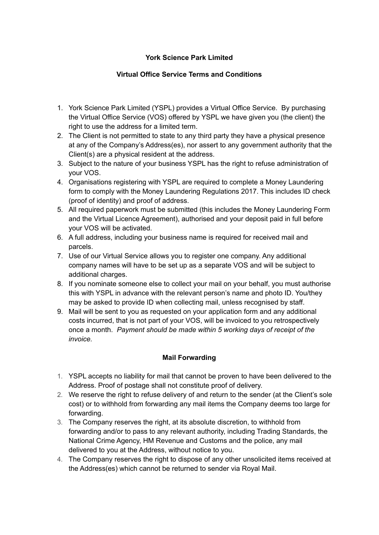### **York Science Park Limited**

# **Virtual Office Service Terms and Conditions**

- 1. York Science Park Limited (YSPL) provides a Virtual Office Service. By purchasing the Virtual Office Service (VOS) offered by YSPL we have given you (the client) the right to use the address for a limited term.
- 2. The Client is not permitted to state to any third party they have a physical presence at any of the Company's Address(es), nor assert to any government authority that the Client(s) are a physical resident at the address.
- 3. Subject to the nature of your business YSPL has the right to refuse administration of your VOS.
- 4. Organisations registering with YSPL are required to complete a Money Laundering form to comply with the Money Laundering Regulations 2017. This includes ID check (proof of identity) and proof of address.
- 5. All required paperwork must be submitted (this includes the Money Laundering Form and the Virtual Licence Agreement), authorised and your deposit paid in full before your VOS will be activated.
- 6. A full address, including your business name is required for received mail and parcels.
- 7. Use of our Virtual Service allows you to register one company. Any additional company names will have to be set up as a separate VOS and will be subject to additional charges.
- 8. If you nominate someone else to collect your mail on your behalf, you must authorise this with YSPL in advance with the relevant person's name and photo ID. You/they may be asked to provide ID when collecting mail, unless recognised by staff.
- 9. Mail will be sent to you as requested on your application form and any additional costs incurred, that is not part of your VOS, will be invoiced to you retrospectively once a month. *Payment should be made within 5 working days of receipt of the invoice.*

## **Mail Forwarding**

- 1. YSPL accepts no liability for mail that cannot be proven to have been delivered to the Address. Proof of postage shall not constitute proof of delivery.
- 2. We reserve the right to refuse delivery of and return to the sender (at the Client's sole cost) or to withhold from forwarding any mail items the Company deems too large for forwarding.
- 3. The Company reserves the right, at its absolute discretion, to withhold from forwarding and/or to pass to any relevant authority, including Trading Standards, the National Crime Agency, HM Revenue and Customs and the police, any mail delivered to you at the Address, without notice to you.
- 4. The Company reserves the right to dispose of any other unsolicited items received at the Address(es) which cannot be returned to sender via Royal Mail.